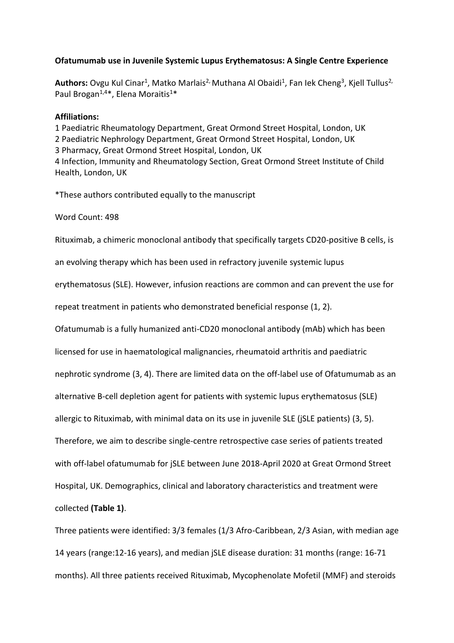## **Ofatumumab use in Juvenile Systemic Lupus Erythematosus: A Single Centre Experience**

Authors: Ovgu Kul Cinar<sup>1</sup>, Matko Marlais<sup>2,</sup> Muthana Al Obaidi<sup>1</sup>, Fan Iek Cheng<sup>3</sup>, Kjell Tullus<sup>2,</sup> Paul Brogan<sup>1,4\*</sup>, Elena Moraitis<sup>1\*</sup>

## **Affiliations:**

1 Paediatric Rheumatology Department, Great Ormond Street Hospital, London, UK 2 Paediatric Nephrology Department, Great Ormond Street Hospital, London, UK 3 Pharmacy, Great Ormond Street Hospital, London, UK 4 Infection, Immunity and Rheumatology Section, Great Ormond Street Institute of Child Health, London, UK

\*These authors contributed equally to the manuscript

Word Count: 498

Rituximab, a chimeric monoclonal antibody that specifically targets CD20-positive B cells, is

an evolving therapy which has been used in refractory juvenile systemic lupus

erythematosus (SLE). However, infusion reactions are common and can prevent the use for

repeat treatment in patients who demonstrated beneficial response (1, 2).

Ofatumumab is a fully humanized anti-CD20 monoclonal antibody (mAb) which has been

licensed for use in haematological malignancies, rheumatoid arthritis and paediatric

nephrotic syndrome (3, 4). There are limited data on the off-label use of Ofatumumab as an

alternative B-cell depletion agent for patients with systemic lupus erythematosus (SLE)

allergic to Rituximab, with minimal data on its use in juvenile SLE (jSLE patients) (3, 5).

Therefore, we aim to describe single-centre retrospective case series of patients treated

with off-label ofatumumab for jSLE between June 2018-April 2020 at Great Ormond Street

Hospital, UK. Demographics, clinical and laboratory characteristics and treatment were

collected **(Table 1)**.

Three patients were identified: 3/3 females (1/3 Afro-Caribbean, 2/3 Asian, with median age 14 years (range:12-16 years), and median jSLE disease duration: 31 months (range: 16-71 months). All three patients received Rituximab, Mycophenolate Mofetil (MMF) and steroids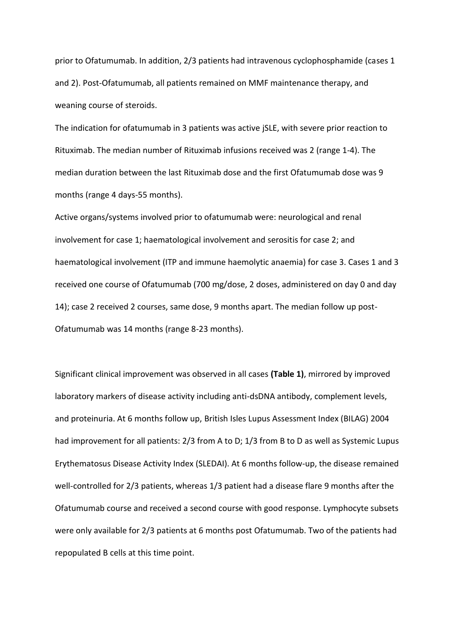prior to Ofatumumab. In addition, 2/3 patients had intravenous cyclophosphamide (cases 1 and 2). Post-Ofatumumab, all patients remained on MMF maintenance therapy, and weaning course of steroids.

The indication for ofatumumab in 3 patients was active jSLE, with severe prior reaction to Rituximab. The median number of Rituximab infusions received was 2 (range 1-4). The median duration between the last Rituximab dose and the first Ofatumumab dose was 9 months (range 4 days-55 months).

Active organs/systems involved prior to ofatumumab were: neurological and renal involvement for case 1; haematological involvement and serositis for case 2; and haematological involvement (ITP and immune haemolytic anaemia) for case 3. Cases 1 and 3 received one course of Ofatumumab (700 mg/dose, 2 doses, administered on day 0 and day 14); case 2 received 2 courses, same dose, 9 months apart. The median follow up post-Ofatumumab was 14 months (range 8-23 months).

Significant clinical improvement was observed in all cases **(Table 1)**, mirrored by improved laboratory markers of disease activity including anti-dsDNA antibody, complement levels, and proteinuria. At 6 months follow up, British Isles Lupus Assessment Index (BILAG) 2004 had improvement for all patients: 2/3 from A to D; 1/3 from B to D as well as Systemic Lupus Erythematosus Disease Activity Index (SLEDAI). At 6 months follow-up, the disease remained well-controlled for 2/3 patients, whereas 1/3 patient had a disease flare 9 months after the Ofatumumab course and received a second course with good response. Lymphocyte subsets were only available for 2/3 patients at 6 months post Ofatumumab. Two of the patients had repopulated B cells at this time point.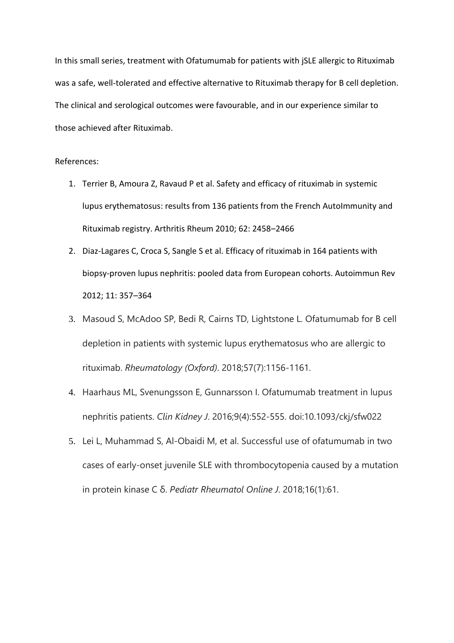In this small series, treatment with Ofatumumab for patients with jSLE allergic to Rituximab was a safe, well-tolerated and effective alternative to Rituximab therapy for B cell depletion. The clinical and serological outcomes were favourable, and in our experience similar to those achieved after Rituximab.

## References:

- 1. Terrier B, Amoura Z, Ravaud P et al. Safety and efficacy of rituximab in systemic lupus erythematosus: results from 136 patients from the French AutoImmunity and Rituximab registry. Arthritis Rheum 2010; 62: 2458–2466
- 2. Diaz-Lagares C, Croca S, Sangle S et al. Efficacy of rituximab in 164 patients with biopsy-proven lupus nephritis: pooled data from European cohorts. Autoimmun Rev 2012; 11: 357–364
- 3. Masoud S, McAdoo SP, Bedi R, Cairns TD, Lightstone L. Ofatumumab for B cell depletion in patients with systemic lupus erythematosus who are allergic to rituximab. *Rheumatology (Oxford)*. 2018;57(7):1156‐1161.
- 4. Haarhaus ML, Svenungsson E, Gunnarsson I. Ofatumumab treatment in lupus nephritis patients. *Clin Kidney J*. 2016;9(4):552‐555. doi:10.1093/ckj/sfw022
- 5. Lei L, Muhammad S, Al-Obaidi M, et al. Successful use of ofatumumab in two cases of early-onset juvenile SLE with thrombocytopenia caused by a mutation in protein kinase C δ. *Pediatr Rheumatol Online J*. 2018;16(1):61.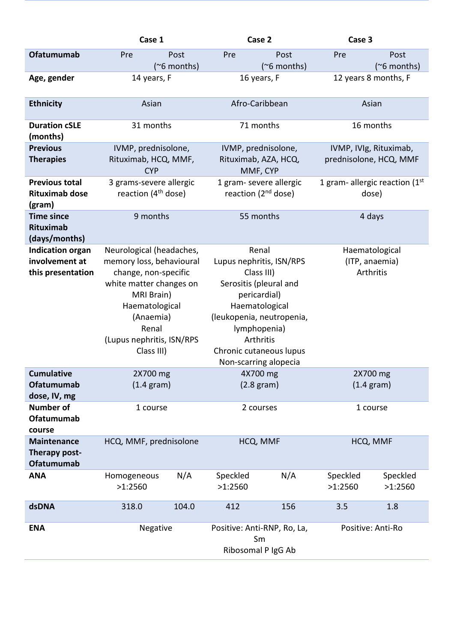|                                                                | Case 1                                                                                                                                                                                                   |                            |                                                                                                                                                                                                                           | Case 2                     | Case 3                                           |                            |
|----------------------------------------------------------------|----------------------------------------------------------------------------------------------------------------------------------------------------------------------------------------------------------|----------------------------|---------------------------------------------------------------------------------------------------------------------------------------------------------------------------------------------------------------------------|----------------------------|--------------------------------------------------|----------------------------|
| <b>Ofatumumab</b>                                              | Pre                                                                                                                                                                                                      | Post<br>$(^\sim 6$ months) | Pre                                                                                                                                                                                                                       | Post<br>$(^\sim 6$ months) | Pre                                              | Post<br>$(^\sim 6$ months) |
| Age, gender                                                    | 14 years, F                                                                                                                                                                                              |                            | 16 years, F                                                                                                                                                                                                               |                            | 12 years 8 months, F                             |                            |
| <b>Ethnicity</b>                                               | Asian                                                                                                                                                                                                    |                            | Afro-Caribbean                                                                                                                                                                                                            |                            | Asian                                            |                            |
| <b>Duration cSLE</b><br>(months)                               | 31 months                                                                                                                                                                                                |                            | 71 months                                                                                                                                                                                                                 |                            | 16 months                                        |                            |
| <b>Previous</b><br><b>Therapies</b>                            | IVMP, prednisolone,<br>Rituximab, HCQ, MMF,<br><b>CYP</b>                                                                                                                                                |                            | IVMP, prednisolone,<br>Rituximab, AZA, HCQ,<br>MMF, CYP                                                                                                                                                                   |                            | IVMP, IVIg, Rituximab,<br>prednisolone, HCQ, MMF |                            |
| <b>Previous total</b><br><b>Rituximab dose</b><br>(gram)       | 3 grams-severe allergic<br>reaction $(4th$ dose)                                                                                                                                                         |                            | 1 gram- severe allergic<br>reaction (2 <sup>nd</sup> dose)                                                                                                                                                                |                            | 1 gram- allergic reaction $(1st$<br>dose)        |                            |
| <b>Time since</b><br>Rituximab<br>(days/months)                | 9 months                                                                                                                                                                                                 |                            | 55 months                                                                                                                                                                                                                 |                            | 4 days                                           |                            |
| <b>Indication organ</b><br>involvement at<br>this presentation | Neurological (headaches,<br>memory loss, behavioural<br>change, non-specific<br>white matter changes on<br>MRI Brain)<br>Haematological<br>(Anaemia)<br>Renal<br>(Lupus nephritis, ISN/RPS<br>Class III) |                            | Renal<br>Lupus nephritis, ISN/RPS<br>Class III)<br>Serositis (pleural and<br>pericardial)<br>Haematological<br>(leukopenia, neutropenia,<br>lymphopenia)<br>Arthritis<br>Chronic cutaneous lupus<br>Non-scarring alopecia |                            | Haematological<br>(ITP, anaemia)<br>Arthritis    |                            |
| <b>Cumulative</b><br>Ofatumumab<br>dose, IV, mg                | 2X700 mg<br>$(1.4 \text{ gram})$                                                                                                                                                                         |                            | 4X700 mg<br>$(2.8 \text{ gram})$                                                                                                                                                                                          |                            | 2X700 mg<br>$(1.4 \text{ gram})$                 |                            |
| <b>Number of</b><br><b>Ofatumumab</b><br>course                | 1 course                                                                                                                                                                                                 |                            | 2 courses                                                                                                                                                                                                                 |                            | 1 course                                         |                            |
| <b>Maintenance</b><br>Therapy post-<br><b>Ofatumumab</b>       | HCQ, MMF, prednisolone                                                                                                                                                                                   |                            | HCQ, MMF                                                                                                                                                                                                                  |                            | HCQ, MMF                                         |                            |
| <b>ANA</b>                                                     | Homogeneous<br>>1:2560                                                                                                                                                                                   | N/A                        | Speckled<br>>1:2560                                                                                                                                                                                                       | N/A                        | Speckled<br>>1:2560                              | Speckled<br>>1:2560        |
| dsDNA                                                          | 318.0                                                                                                                                                                                                    | 104.0                      | 412                                                                                                                                                                                                                       | 156                        | 3.5                                              | 1.8                        |
| <b>ENA</b>                                                     | Negative                                                                                                                                                                                                 |                            | Positive: Anti-RNP, Ro, La,<br>Sm<br>Ribosomal P IgG Ab                                                                                                                                                                   |                            | Positive: Anti-Ro                                |                            |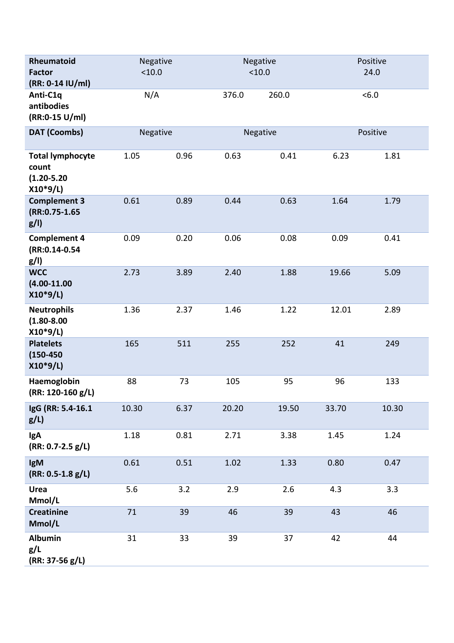| Rheumatoid<br><b>Factor</b><br>(RR: 0-14 IU/ml)                  | Negative<br>< 10.0 |      | Negative<br>< 10.0 |       | Positive<br>24.0 |       |
|------------------------------------------------------------------|--------------------|------|--------------------|-------|------------------|-------|
| Anti-C1q<br>antibodies<br>(RR:0-15 U/ml)                         | N/A                |      | 376.0              | 260.0 |                  | <6.0  |
| <b>DAT (Coombs)</b>                                              | Negative           |      | Negative           |       | Positive         |       |
| <b>Total lymphocyte</b><br>count<br>$(1.20 - 5.20)$<br>$X10*9/L$ | 1.05               | 0.96 | 0.63               | 0.41  | 6.23             | 1.81  |
| <b>Complement 3</b><br>(RR:0.75-1.65<br>g/I                      | 0.61               | 0.89 | 0.44               | 0.63  | 1.64             | 1.79  |
| <b>Complement 4</b><br>(RR:0.14-0.54<br>g/I                      | 0.09               | 0.20 | 0.06               | 0.08  | 0.09             | 0.41  |
| <b>WCC</b><br>$(4.00 - 11.00)$<br>$X10*9/L$                      | 2.73               | 3.89 | 2.40               | 1.88  | 19.66            | 5.09  |
| <b>Neutrophils</b><br>$(1.80 - 8.00)$<br>$X10*9/L$               | 1.36               | 2.37 | 1.46               | 1.22  | 12.01            | 2.89  |
| <b>Platelets</b><br>$(150 - 450)$<br>$X10*9/L$                   | 165                | 511  | 255                | 252   | 41               | 249   |
| Haemoglobin<br>(RR: 120-160 g/L)                                 | 88                 | 73   | 105                | 95    | 96               | 133   |
| IgG (RR: 5.4-16.1)<br>$g/L$ )                                    | 10.30              | 6.37 | 20.20              | 19.50 | 33.70            | 10.30 |
| <b>IgA</b><br>$(RR: 0.7 - 2.5 g/L)$                              | 1.18               | 0.81 | 2.71               | 3.38  | 1.45             | 1.24  |
| IgM<br>$(RR: 0.5-1.8 g/L)$                                       | 0.61               | 0.51 | 1.02               | 1.33  | 0.80             | 0.47  |
| <b>Urea</b><br>Mmol/L                                            | 5.6                | 3.2  | 2.9                | 2.6   | 4.3              | 3.3   |
| <b>Creatinine</b><br>Mmol/L                                      | 71                 | 39   | 46                 | 39    | 43               | 46    |
| <b>Albumin</b><br>g/L<br>$(RR: 37-56 g/L)$                       | 31                 | 33   | 39                 | 37    | 42               | 44    |